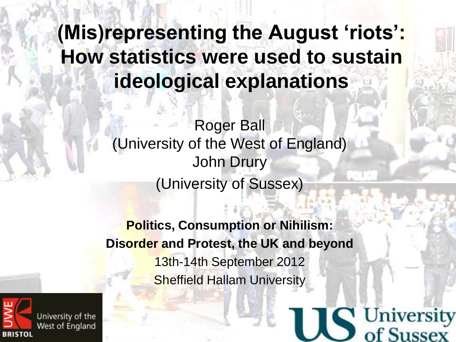### **(Mis)representing the August 'riots': How statistics were used to sustain ideological explanations**

Roger Ball (University of the West of England) John Drury (University of Sussex)

**Politics, Consumption or Nihilism: Disorder and Protest, the UK and beyond** 13th-14th September 2012 Sheffield Hallam University

C University

of Sussex

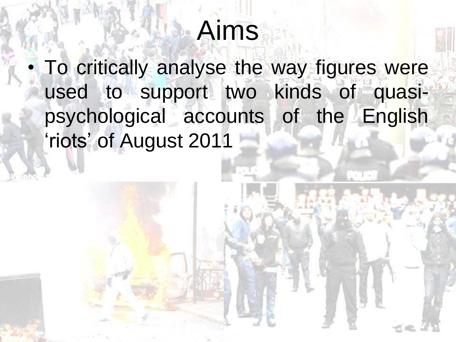## Aims

• To critically analyse the way figures were used to support two kinds of quasipsychological accounts of the English 'riots' of August 2011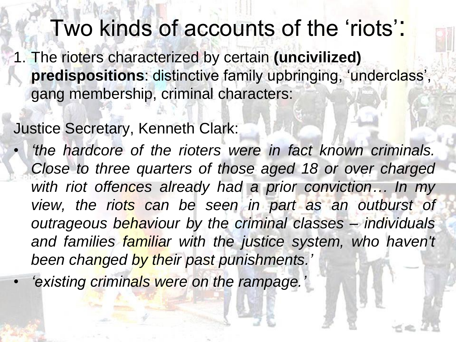Two kinds of accounts of the 'riots':

1. The rioters characterized by certain **(uncivilized) predispositions**: distinctive family upbringing, 'underclass', gang membership, criminal characters:

Justice Secretary, Kenneth Clark:

• *'the hardcore of the rioters were in fact known criminals. Close to three quarters of those aged 18 or over charged with riot offences already had a prior conviction… In my view, the riots can be seen in part as an outburst of outrageous behaviour by the criminal classes – individuals and families familiar with the justice system, who haven't been changed by their past punishments.'*

• *'existing criminals were on the rampage.'*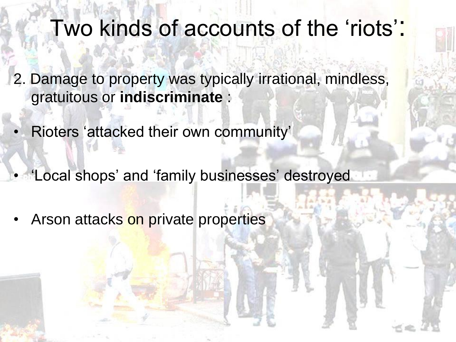## Two kinds of accounts of the 'riots':

- 2. Damage to property was typically irrational, mindless, gratuitous or **indiscriminate** :
- Rioters 'attacked their own community'
- 'Local shops' and 'family businesses' destroyed
- Arson attacks on private properties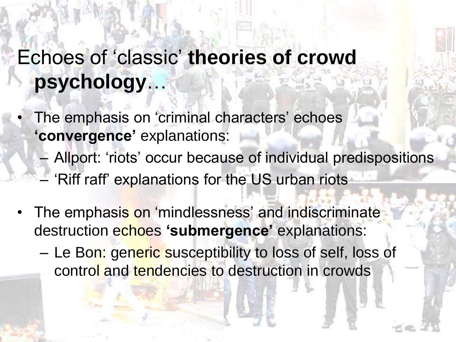### Echoes of 'classic' **theories of crowd psychology**…

- The emphasis on 'criminal characters' echoes **'convergence'** explanations:
	- Allport: 'riots' occur because of individual predispositions
	- 'Riff raff' explanations for the US urban riots
- The emphasis on 'mindlessness' and indiscriminate destruction echoes **'submergence'** explanations:
	- Le Bon: generic susceptibility to loss of self, loss of control and tendencies to destruction in crowds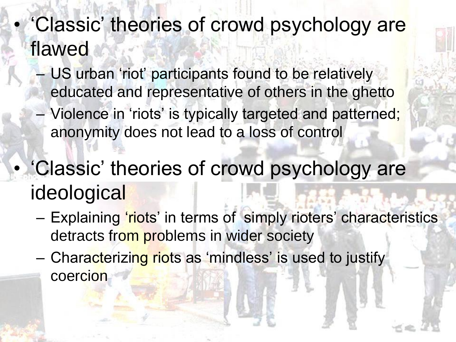- 'Classic' theories of crowd psychology are flawed
	- US urban 'riot' participants found to be relatively educated and representative of others in the ghetto
	- Violence in 'riots' is typically targeted and patterned; anonymity does not lead to a loss of control
- 'Classic' theories of crowd psychology are **ideological** 
	- Explaining 'riots' in terms of simply rioters' characteristics detracts from problems in wider society
	- Characterizing riots as 'mindless' is used to justify coercion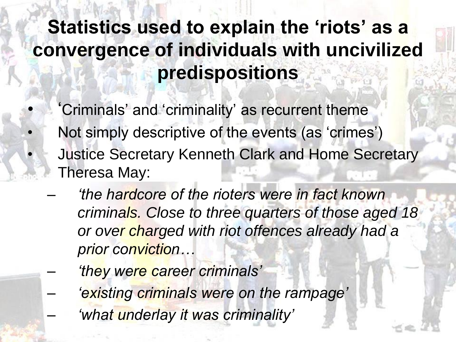#### **Statistics used to explain the 'riots' as a convergence of individuals with uncivilized predispositions**

'Criminals' and 'criminality' as recurrent theme

•

- Not simply descriptive of the events (as 'crimes') • Justice Secretary Kenneth Clark and Home Secretary Theresa May:
- *'the hardcore of the rioters were in fact known criminals. Close to three quarters of those aged 18 or over charged with riot offences already had a prior conviction…*
	- *'they were career criminals'* – *'existing criminals were on the rampage'* – *'what underlay it was criminality'*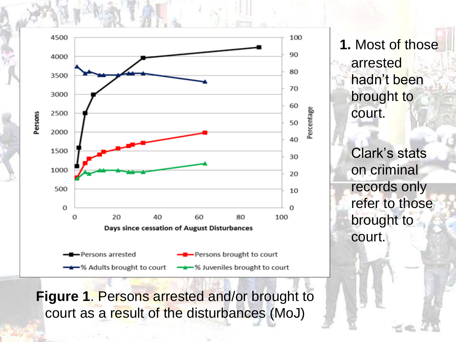

**Figure 1**. Persons arrested and/or brought to court as a result of the disturbances (MoJ)

**1.** Most of those arrested hadn't been brought to court.

Clark's stats on criminal records only refer to those brought to court.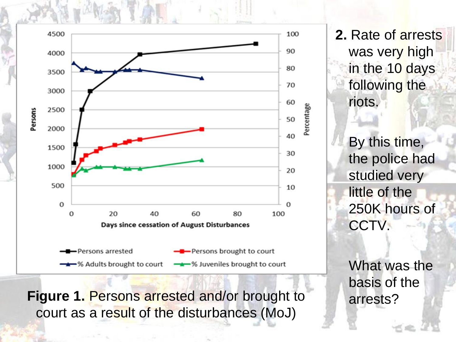

**2.** Rate of arrests was very high in the 10 days following the riots.

> By this time, the police had studied very little of the 250K hours of CCTV.

What was the basis of the

**Figure 1. Persons arrested and/or brought to arrests?** court as a result of the disturbances (MoJ)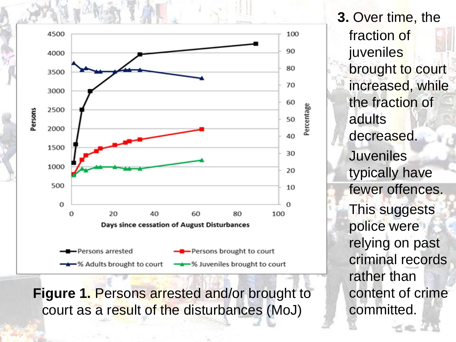

**Figure 1.** Persons arrested and/or brought to court as a result of the disturbances (MoJ)

**3.** Over time, the fraction of **juveniles** brought to court increased, while the fraction of adults decreased. **Juveniles** typically have fewer offences. This suggests police were relying on past criminal records rather than content of crime committed.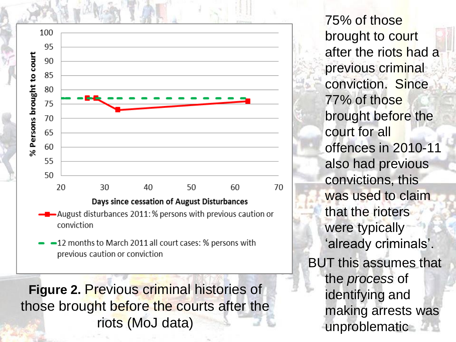

- $\rightarrow$  August disturbances 2011: % persons with previous caution or conviction
- -12 months to March 2011 all court cases: % persons with previous caution or conviction

**Figure 2.** Previous criminal histories of those brought before the courts after the riots (MoJ data)

75% of those brought to court after the riots had a previous criminal conviction. Since 77% of those brought before the court for all offences in 2010-11 also had previous convictions, this was used to claim that the rioters were typically 'already criminals'. BUT this assumes that the *process* of identifying and making arrests was unproblematic **and**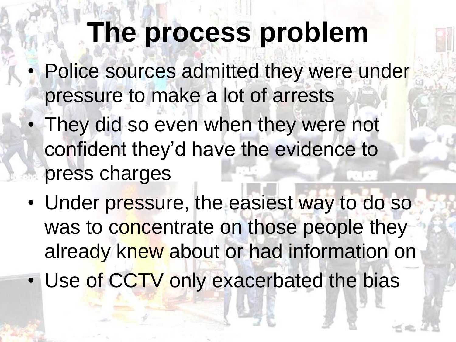## **The process problem**

- Police sources admitted they were under pressure to make a lot of arrests
- They did so even when they were not confident they'd have the evidence to press charges
- Under pressure, the easiest way to do so was to concentrate on those people they already knew about or had information on
- Use of CCTV only exacerbated the bias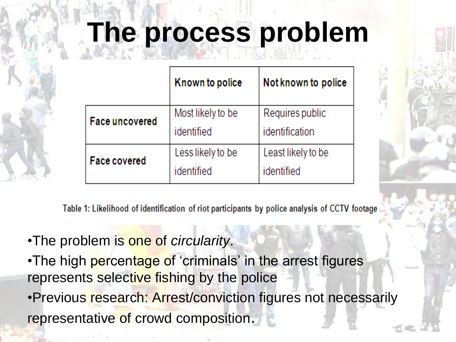# **The process problem**

|                       | Known to police                 | Not known to police               |
|-----------------------|---------------------------------|-----------------------------------|
| <b>Face uncovered</b> | Most likely to be<br>identified | Requires public<br>identification |
| <b>Face covered</b>   | Less likely to be<br>identified | Least likely to be<br>identified  |



•The problem is one of *circularity*.

•The high percentage of 'criminals' in the arrest figures represents selective fishing by the police

•Previous research: Arrest/conviction figures not necessarily representative of crowd composition.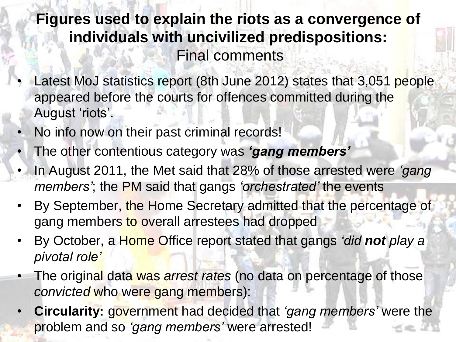#### **Figures used to explain the riots as a convergence of individuals with uncivilized predispositions:** Final comments

- Latest MoJ statistics report (8th June 2012) states that 3,051 people appeared before the courts for offences committed during the August 'riots'.
- No info now on their past criminal records!
- The other contentious category was *'gang members'*
- In August 2011, the Met said that 28% of those arrested were *'gang members'*; the PM said that gangs *'orchestrated'* the events
- By September, the Home Secretary admitted that the percentage of gang members to overall arrestees had dropped
- By October, a Home Office report stated that gangs *'did not play a pivotal role'*
- The original data was *arrest rates* (no data on percentage of those *convicted* who were gang members):
- **Circularity:** government had decided that *'gang members'* were the problem and so *'gang members'* were arrested!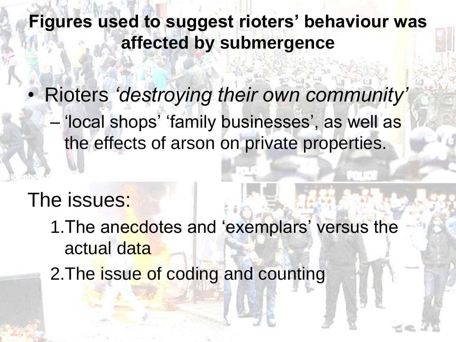**Figures used to suggest rioters' behaviour was affected by submergence**

• Rioters *'destroying their own community'* – 'local shops' 'family businesses', as well as the effects of arson on private properties.

#### The issues:

- 1. The anecdotes and 'exemplars' versus the actual data
- 2. The issue of coding and counting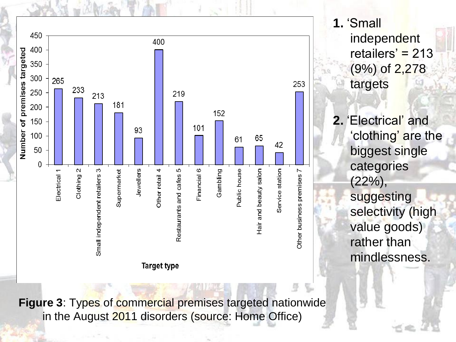

**1.** 'Small independent retailers'  $= 213$ (9%) of 2,278 targets **2.** 'Electrical' and 'clothing' are the biggest single categories (22%), suggesting selectivity (high value goods) rather than mindlessness.

**Figure 3**: Types of commercial premises targeted nationwide in the August 2011 disorders (source: Home Office)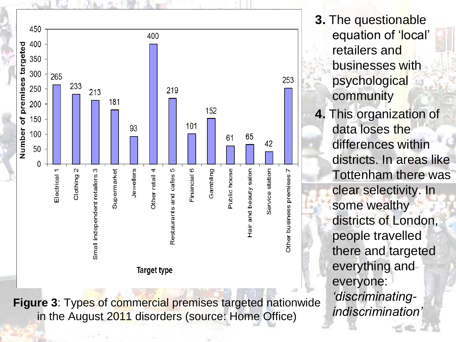

equation of 'local' retailers and businesses with psychological community **4.** This organization of data loses the differences within districts. In areas like Tottenham there was clear selectivity. In some wealthy districts of London, people travelled there and targeted everything and everyone: *'discriminatingindiscrimination'*

**Figure 3**: Types of commercial premises targeted nationwide in the August 2011 disorders (source: Home Office)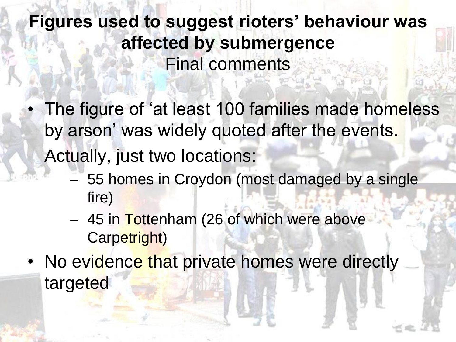**Figures used to suggest rioters' behaviour was affected by submergence** Final comments

The figure of 'at least 100 families made homeless by arson' was widely quoted after the events.

Actually, just two locations:

- 55 homes in Croydon (most damaged by a single fire)
- 45 in Tottenham (26 of which were above Carpetright)
- No evidence that private homes were directly targeted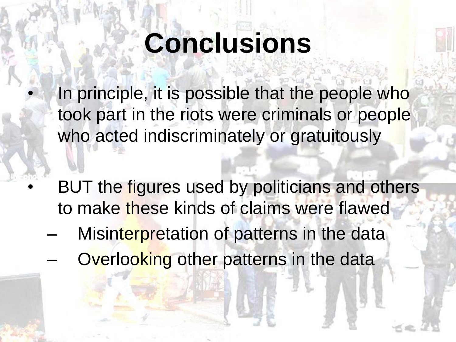# **Conclusions**

In principle, it is possible that the people who took part in the riots were criminals or people who acted indiscriminately or gratuitously

- BUT the figures used by politicians and others to make these kinds of claims were flawed
	- Misinterpretation of patterns in the data
	- Overlooking other patterns in the data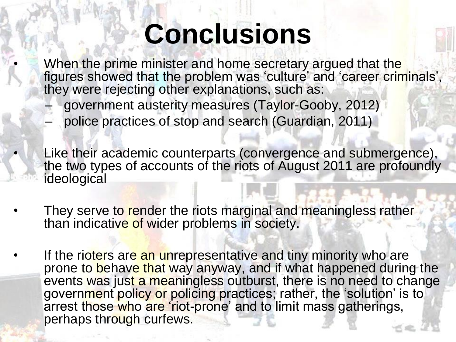# **Conclusions**

When the prime minister and home secretary argued that the figures showed that the problem was 'culture' and 'career criminals', they were rejecting other explanations, such as:

- government austerity measures (Taylor-Gooby, 2012)
- police practices of stop and search (Guardian, 2011)

• Like their academic counterparts (convergence and submergence), the two types of accounts of the riots of August 2011 are profoundly ideological

- They serve to render the riots marginal and meaningless rather than indicative of wider problems in society.
- If the rioters are an unrepresentative and tiny minority who are prone to behave that way anyway, and if what happened during the events was just a meaningless outburst, there is no need to change government policy or policing practices; rather, the 'solution' is to arrest those who are 'riot-prone' and to limit mass gatherings, perhaps through curfews.